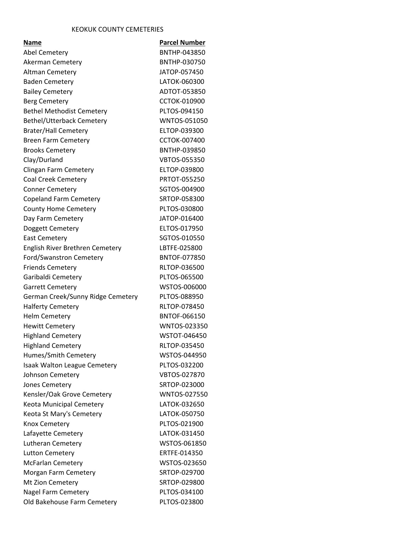## KEOKUK COUNTY CEMETERIES

| Name                              | <b>Parcel Number</b> |
|-----------------------------------|----------------------|
| <b>Abel Cemetery</b>              | BNTHP-043850         |
| Akerman Cemetery                  | BNTHP-030750         |
| <b>Altman Cemetery</b>            | JATOP-057450         |
| <b>Baden Cemetery</b>             | LATOK-060300         |
|                                   | ADTOT-053850         |
| <b>Bailey Cemetery</b>            |                      |
| <b>Berg Cemetery</b>              | <b>CCTOK-010900</b>  |
| <b>Bethel Methodist Cemetery</b>  | PLTOS-094150         |
| <b>Bethel/Utterback Cemetery</b>  | WNTOS-051050         |
| <b>Brater/Hall Cemetery</b>       | ELTOP-039300         |
| <b>Breen Farm Cemetery</b>        | CCTOK-007400         |
| <b>Brooks Cemetery</b>            | BNTHP-039850         |
| Clay/Durland                      | <b>VBTOS-055350</b>  |
| Clingan Farm Cemetery             | ELTOP-039800         |
| <b>Coal Creek Cemetery</b>        | <b>PRTOT-055250</b>  |
| <b>Conner Cemetery</b>            | SGTOS-004900         |
| <b>Copeland Farm Cemetery</b>     | SRTOP-058300         |
| <b>County Home Cemetery</b>       | PLTOS-030800         |
| Day Farm Cemetery                 | JATOP-016400         |
| Doggett Cemetery                  | ELTOS-017950         |
| <b>East Cemetery</b>              | SGTOS-010550         |
| English River Brethren Cemetery   | LBTFE-025800         |
| Ford/Swanstron Cemetery           | <b>BNTOF-077850</b>  |
| <b>Friends Cemetery</b>           | RLTOP-036500         |
| Garibaldi Cemetery                | PLTOS-065500         |
| <b>Garrett Cemetery</b>           | WSTOS-006000         |
| German Creek/Sunny Ridge Cemetery | PLTOS-088950         |
| <b>Halferty Cemetery</b>          | RLTOP-078450         |
| <b>Helm Cemetery</b>              | <b>BNTOF-066150</b>  |
| <b>Hewitt Cemetery</b>            | WNTOS-023350         |
| <b>Highland Cemetery</b>          | WSTOT-046450         |
| <b>Highland Cemetery</b>          | RLTOP-035450         |
| Humes/Smith Cemetery              | WSTOS-044950         |
| Isaak Walton League Cemetery      | PLTOS-032200         |
| Johnson Cemetery                  | VBTOS-027870         |
| Jones Cemetery                    | SRTOP-023000         |
| Kensler/Oak Grove Cemetery        | WNTOS-027550         |
| <b>Keota Municipal Cemetery</b>   | LATOK-032650         |
| Keota St Mary's Cemetery          | LATOK-050750         |
| Knox Cemetery                     | PLTOS-021900         |
| Lafayette Cemetery                | LATOK-031450         |
| Lutheran Cemetery                 | WSTOS-061850         |
| <b>Lutton Cemetery</b>            | ERTFE-014350         |
| <b>McFarlan Cemetery</b>          | WSTOS-023650         |
| Morgan Farm Cemetery              | SRTOP-029700         |
| Mt Zion Cemetery                  | SRTOP-029800         |
| <b>Nagel Farm Cemetery</b>        | PLTOS-034100         |
| Old Bakehouse Farm Cemetery       | PLTOS-023800         |
|                                   |                      |